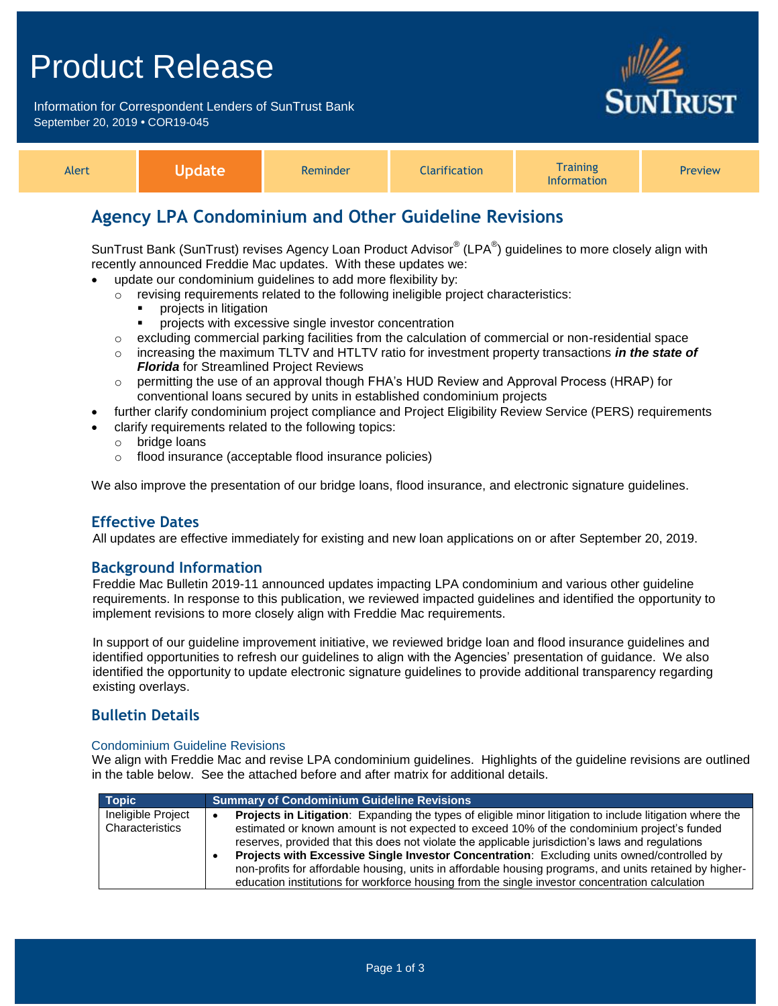# Product Release

Information for Correspondent Lenders of SunTrust Bank September 20, 2019 **•** COR19-045



**RUST** 

# **Agency LPA Condominium and Other Guideline Revisions**

SunTrust Bank (SunTrust) revises Agency Loan Product Advisor® (LPA®) guidelines to more closely align with recently announced Freddie Mac updates. With these updates we:

- update our condominium guidelines to add more flexibility by:
	- o revising requirements related to the following ineligible project characteristics:
		- projects in litigation
		- **PEDRITE:** projects with excessive single investor concentration
	- $\circ$  excluding commercial parking facilities from the calculation of commercial or non-residential space
	- o increasing the maximum TLTV and HTLTV ratio for investment property transactions *in the state of Florida* for Streamlined Project Reviews
	- $\circ$  permitting the use of an approval though FHA's HUD Review and Approval Process (HRAP) for conventional loans secured by units in established condominium projects
- further clarify condominium project compliance and Project Eligibility Review Service (PERS) requirements
- clarify requirements related to the following topics:
	- o bridge loans
	- o flood insurance (acceptable flood insurance policies)

We also improve the presentation of our bridge loans, flood insurance, and electronic signature guidelines.

#### **Effective Dates**

All updates are effective immediately for existing and new loan applications on or after September 20, 2019.

#### **Background Information**

Freddie Mac Bulletin 2019-11 announced updates impacting LPA condominium and various other guideline requirements. In response to this publication, we reviewed impacted guidelines and identified the opportunity to implement revisions to more closely align with Freddie Mac requirements.

In support of our guideline improvement initiative, we reviewed bridge loan and flood insurance guidelines and identified opportunities to refresh our guidelines to align with the Agencies' presentation of guidance. We also identified the opportunity to update electronic signature guidelines to provide additional transparency regarding existing overlays.

#### **Bulletin Details**

#### Condominium Guideline Revisions

We align with Freddie Mac and revise LPA condominium guidelines. Highlights of the guideline revisions are outlined in the table below. See the attached before and after matrix for additional details.

| <b>Topic</b>                          | <b>Summary of Condominium Guideline Revisions</b>                                                                                                                                                                                                                                                                                                                                                                                                                                                                                                                                                                       |
|---------------------------------------|-------------------------------------------------------------------------------------------------------------------------------------------------------------------------------------------------------------------------------------------------------------------------------------------------------------------------------------------------------------------------------------------------------------------------------------------------------------------------------------------------------------------------------------------------------------------------------------------------------------------------|
| Ineligible Project<br>Characteristics | Projects in Litigation: Expanding the types of eligible minor litigation to include litigation where the<br>estimated or known amount is not expected to exceed 10% of the condominium project's funded<br>reserves, provided that this does not violate the applicable jurisdiction's laws and regulations<br>Projects with Excessive Single Investor Concentration: Excluding units owned/controlled by<br>non-profits for affordable housing, units in affordable housing programs, and units retained by higher-<br>education institutions for workforce housing from the single investor concentration calculation |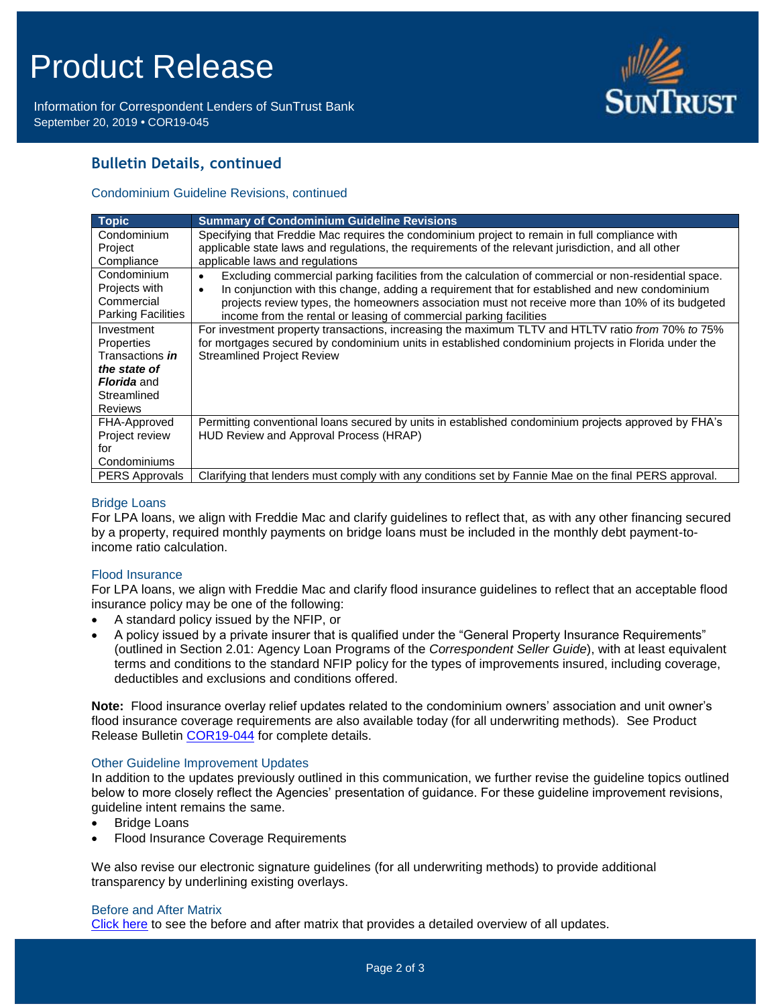# Product Release

Information for Correspondent Lenders of SunTrust Bank September 20, 2019 **•** COR19-045



## **Bulletin Details, continued**

#### Condominium Guideline Revisions, continued

| <b>Topic</b>              | <b>Summary of Condominium Guideline Revisions</b>                                                         |  |
|---------------------------|-----------------------------------------------------------------------------------------------------------|--|
| Condominium               | Specifying that Freddie Mac requires the condominium project to remain in full compliance with            |  |
| Project                   | applicable state laws and regulations, the requirements of the relevant jurisdiction, and all other       |  |
| Compliance                | applicable laws and regulations                                                                           |  |
| Condominium               | Excluding commercial parking facilities from the calculation of commercial or non-residential space.<br>٠ |  |
| Projects with             | In conjunction with this change, adding a requirement that for established and new condominium<br>٠       |  |
| Commercial                | projects review types, the homeowners association must not receive more than 10% of its budgeted          |  |
| <b>Parking Facilities</b> | income from the rental or leasing of commercial parking facilities                                        |  |
| Investment                | For investment property transactions, increasing the maximum TLTV and HTLTV ratio from 70% to 75%         |  |
| Properties                | for mortgages secured by condominium units in established condominium projects in Florida under the       |  |
| Transactions <i>in</i>    | <b>Streamlined Project Review</b>                                                                         |  |
| the state of              |                                                                                                           |  |
| <b>Florida</b> and        |                                                                                                           |  |
| Streamlined               |                                                                                                           |  |
| <b>Reviews</b>            |                                                                                                           |  |
| FHA-Approved              | Permitting conventional loans secured by units in established condominium projects approved by FHA's      |  |
| Project review            | HUD Review and Approval Process (HRAP)                                                                    |  |
| for                       |                                                                                                           |  |
| Condominiums              |                                                                                                           |  |
| <b>PERS Approvals</b>     | Clarifying that lenders must comply with any conditions set by Fannie Mae on the final PERS approval.     |  |

#### Bridge Loans

For LPA loans, we align with Freddie Mac and clarify guidelines to reflect that, as with any other financing secured by a property, required monthly payments on bridge loans must be included in the monthly debt payment-toincome ratio calculation.

#### Flood Insurance

For LPA loans, we align with Freddie Mac and clarify flood insurance guidelines to reflect that an acceptable flood insurance policy may be one of the following:

- A standard policy issued by the NFIP, or
- A policy issued by a private insurer that is qualified under the "General Property Insurance Requirements" (outlined in Section 2.01: Agency Loan Programs of the *Correspondent Seller Guide*), with at least equivalent terms and conditions to the standard NFIP policy for the types of improvements insured, including coverage, deductibles and exclusions and conditions offered.

**Note:** Flood insurance overlay relief updates related to the condominium owners' association and unit owner's flood insurance coverage requirements are also available today (for all underwriting methods). See Product Release Bulletin [COR19-044](https://www.truistsellerguide.com/Manual/cor/bulletins/archive/Cr19-044.pdf) for complete details.

#### Other Guideline Improvement Updates

In addition to the updates previously outlined in this communication, we further revise the guideline topics outlined below to more closely reflect the Agencies' presentation of guidance. For these guideline improvement revisions, guideline intent remains the same.

- Bridge Loans
- Flood Insurance Coverage Requirements

We also revise our electronic signature guidelines (for all underwriting methods) to provide additional transparency by underlining existing overlays.

#### Before and After Matrix

[Click here](http://www.truistsellerguide.com/manual/cor/products/Cr19-045BA.pdf) to see the before and after matrix that provides a detailed overview of all updates.